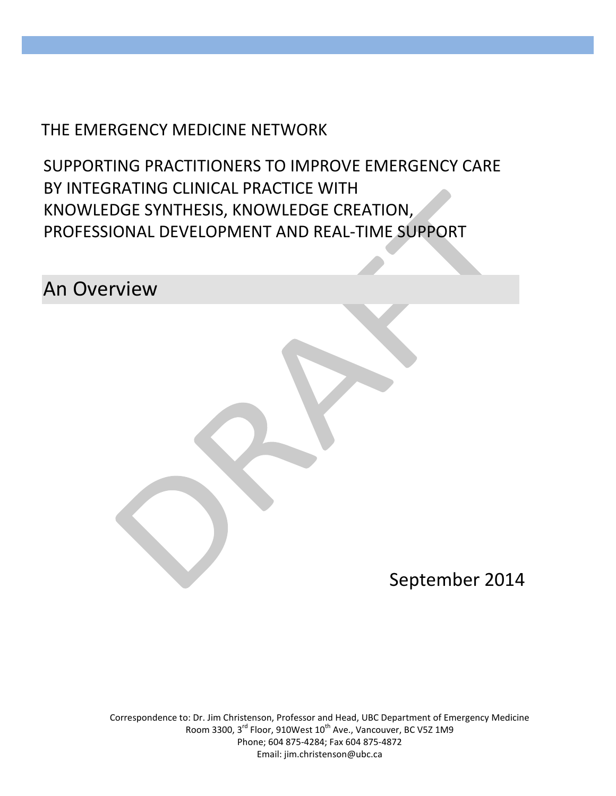# THE EMERGENCY MEDICINE NETWORK

SUPPORTING PRACTITIONERS TO IMPROVE EMERGENCY CARE BY INTEGRATING CLINICAL PRACTICE WITH KNOWLEDGE SYNTHESIS, KNOWLEDGE CREATION, PROFESSIONAL DEVELOPMENT AND REAL-TIME SUPPORT

An Overview

September 2014

Correspondence to: Dr. Jim Christenson, Professor and Head, UBC Department of Emergency Medicine Room 3300, 3<sup>rd</sup> Floor, 910West 10<sup>th</sup> Ave., Vancouver, BC V5Z 1M9 Phone; 604 875-4284; Fax 604 875-4872 Email: jim.christenson@ubc.ca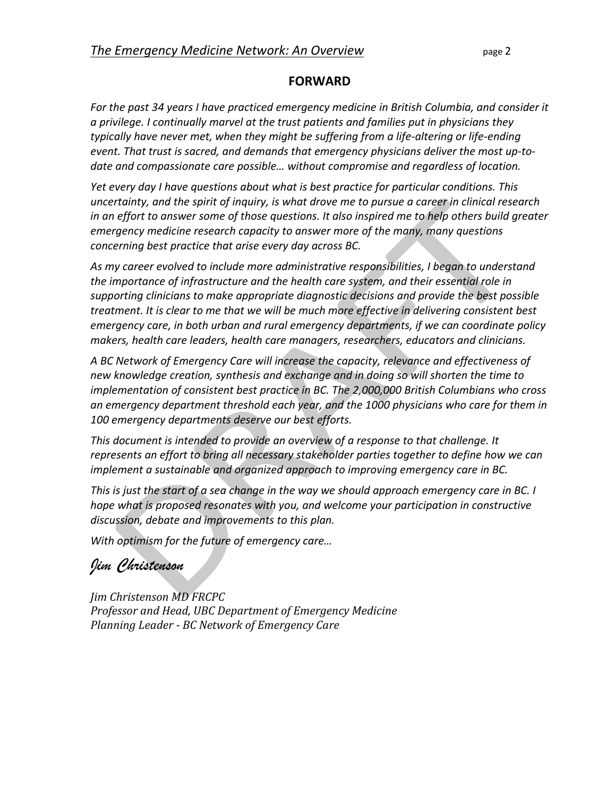#### **FORWARD**

*For the past 34 years I have practiced emergency medicine in British Columbia, and consider it a privilege. I continually marvel at the trust patients and families put in physicians they typically have never met, when they might be suffering from a life-altering or life-ending event. That trust is sacred, and demands that emergency physicians deliver the most up-todate and compassionate care possible… without compromise and regardless of location.*

*Yet every day I have questions about what is best practice for particular conditions. This uncertainty, and the spirit of inquiry, is what drove me to pursue a career in clinical research in an effort to answer some of those questions. It also inspired me to help others build greater emergency medicine research capacity to answer more of the many, many questions concerning best practice that arise every day across BC.*

*As my career evolved to include more administrative responsibilities, I began to understand the importance of infrastructure and the health care system, and their essential role in supporting clinicians to make appropriate diagnostic decisions and provide the best possible treatment. It is clear to me that we will be much more effective in delivering consistent best emergency care, in both urban and rural emergency departments, if we can coordinate policy makers, health care leaders, health care managers, researchers, educators and clinicians.*

*A BC Network of Emergency Care will increase the capacity, relevance and effectiveness of new knowledge creation, synthesis and exchange and in doing so will shorten the time to implementation of consistent best practice in BC. The 2,000,000 British Columbians who cross an emergency department threshold each year, and the 1000 physicians who care for them in 100 emergency departments deserve our best efforts.*

*This document is intended to provide an overview of a response to that challenge. It represents an effort to bring all necessary stakeholder parties together to define how we can implement a sustainable and organized approach to improving emergency care in BC.* 

*This is just the start of a sea change in the way we should approach emergency care in BC. I hope what is proposed resonates with you, and welcome your participation in constructive discussion, debate and improvements to this plan.*

*With optimism for the future of emergency care…*

# *Jim Christenson*

*Jim Christenson MD FRCPC Professor and Head, UBC Department of Emergency Medicine Planning Leader - BC Network of Emergency Care*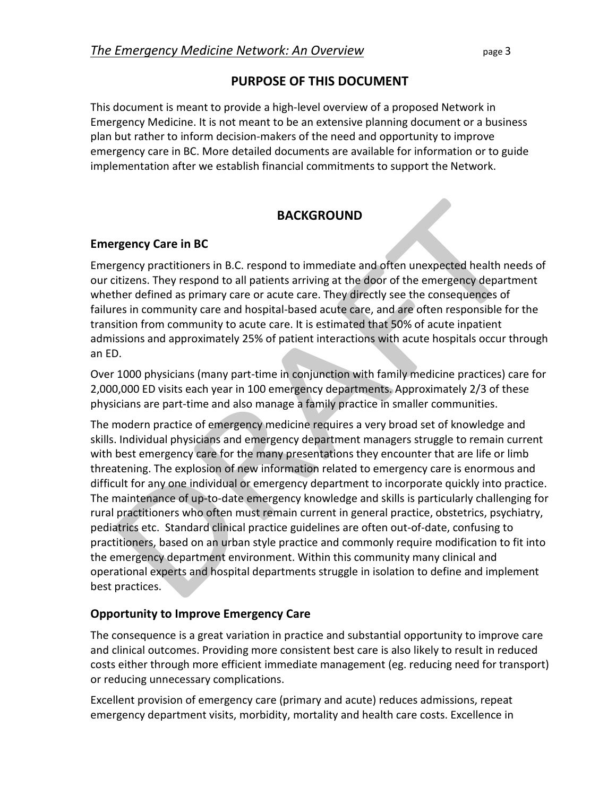# **PURPOSE OF THIS DOCUMENT**

This document is meant to provide a high-level overview of a proposed Network in Emergency Medicine. It is not meant to be an extensive planning document or a business plan but rather to inform decision-makers of the need and opportunity to improve emergency care in BC. More detailed documents are available for information or to guide implementation after we establish financial commitments to support the Network.

# **BACKGROUND**

# **Emergency Care in BC**

Emergency practitioners in B.C. respond to immediate and often unexpected health needs of our citizens. They respond to all patients arriving at the door of the emergency department whether defined as primary care or acute care. They directly see the consequences of failures in community care and hospital-based acute care, and are often responsible for the transition from community to acute care. It is estimated that 50% of acute inpatient admissions and approximately 25% of patient interactions with acute hospitals occur through an ED.

Over 1000 physicians (many part-time in conjunction with family medicine practices) care for 2,000,000 ED visits each year in 100 emergency departments. Approximately 2/3 of these physicians are part-time and also manage a family practice in smaller communities.

The modern practice of emergency medicine requires a very broad set of knowledge and skills. Individual physicians and emergency department managers struggle to remain current with best emergency care for the many presentations they encounter that are life or limb threatening. The explosion of new information related to emergency care is enormous and difficult for any one individual or emergency department to incorporate quickly into practice. The maintenance of up-to-date emergency knowledge and skills is particularly challenging for rural practitioners who often must remain current in general practice, obstetrics, psychiatry, pediatrics etc. Standard clinical practice guidelines are often out-of-date, confusing to practitioners, based on an urban style practice and commonly require modification to fit into the emergency department environment. Within this community many clinical and operational experts and hospital departments struggle in isolation to define and implement best practices.

# **Opportunity to Improve Emergency Care**

The consequence is a great variation in practice and substantial opportunity to improve care and clinical outcomes. Providing more consistent best care is also likely to result in reduced costs either through more efficient immediate management (eg. reducing need for transport) or reducing unnecessary complications.

Excellent provision of emergency care (primary and acute) reduces admissions, repeat emergency department visits, morbidity, mortality and health care costs. Excellence in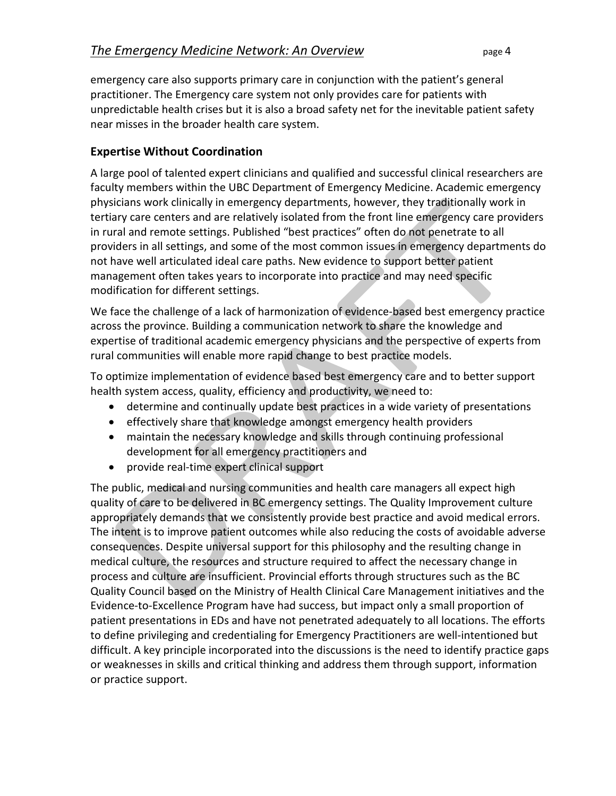emergency care also supports primary care in conjunction with the patient's general practitioner. The Emergency care system not only provides care for patients with unpredictable health crises but it is also a broad safety net for the inevitable patient safety near misses in the broader health care system.

#### **Expertise Without Coordination**

A large pool of talented expert clinicians and qualified and successful clinical researchers are faculty members within the UBC Department of Emergency Medicine. Academic emergency physicians work clinically in emergency departments, however, they traditionally work in tertiary care centers and are relatively isolated from the front line emergency care providers in rural and remote settings. Published "best practices" often do not penetrate to all providers in all settings, and some of the most common issues in emergency departments do not have well articulated ideal care paths. New evidence to support better patient management often takes years to incorporate into practice and may need specific modification for different settings.

We face the challenge of a lack of harmonization of evidence-based best emergency practice across the province. Building a communication network to share the knowledge and expertise of traditional academic emergency physicians and the perspective of experts from rural communities will enable more rapid change to best practice models.

To optimize implementation of evidence based best emergency care and to better support health system access, quality, efficiency and productivity, we need to:

- determine and continually update best practices in a wide variety of presentations
- effectively share that knowledge amongst emergency health providers
- maintain the necessary knowledge and skills through continuing professional development for all emergency practitioners and
- provide real-time expert clinical support

The public, medical and nursing communities and health care managers all expect high quality of care to be delivered in BC emergency settings. The Quality Improvement culture appropriately demands that we consistently provide best practice and avoid medical errors. The intent is to improve patient outcomes while also reducing the costs of avoidable adverse consequences. Despite universal support for this philosophy and the resulting change in medical culture, the resources and structure required to affect the necessary change in process and culture are insufficient. Provincial efforts through structures such as the BC Quality Council based on the Ministry of Health Clinical Care Management initiatives and the Evidence-to-Excellence Program have had success, but impact only a small proportion of patient presentations in EDs and have not penetrated adequately to all locations. The efforts to define privileging and credentialing for Emergency Practitioners are well-intentioned but difficult. A key principle incorporated into the discussions is the need to identify practice gaps or weaknesses in skills and critical thinking and address them through support, information or practice support.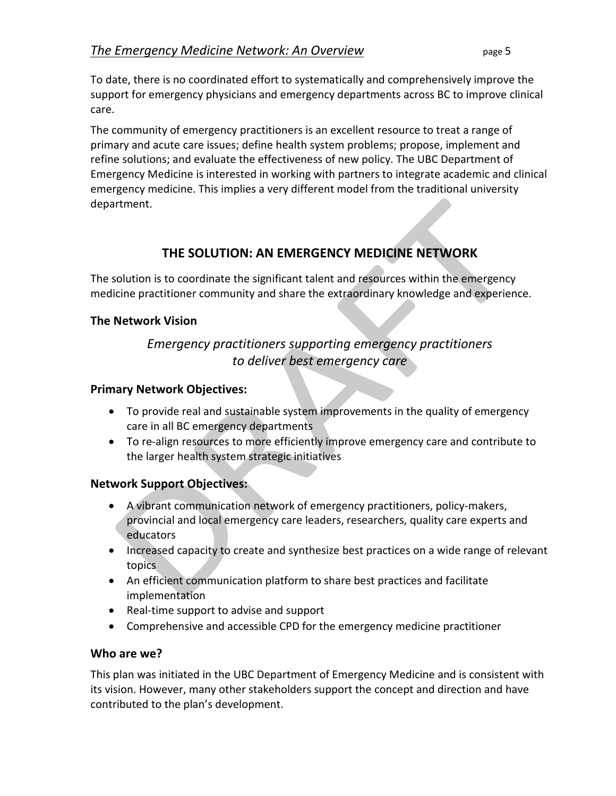To date, there is no coordinated effort to systematically and comprehensively improve the support for emergency physicians and emergency departments across BC to improve clinical care.

The community of emergency practitioners is an excellent resource to treat a range of primary and acute care issues; define health system problems; propose, implement and refine solutions; and evaluate the effectiveness of new policy. The UBC Department of Emergency Medicine is interested in working with partners to integrate academic and clinical emergency medicine. This implies a very different model from the traditional university department.

# **THE SOLUTION: AN EMERGENCY MEDICINE NETWORK**

The solution is to coordinate the significant talent and resources within the emergency medicine practitioner community and share the extraordinary knowledge and experience.

#### **The Network Vision**

# *Emergency practitioners supporting emergency practitioners to deliver best emergency care*

#### **Primary Network Objectives:**

- To provide real and sustainable system improvements in the quality of emergency care in all BC emergency departments
- To re-align resources to more efficiently improve emergency care and contribute to the larger health system strategic initiatives

#### **Network Support Objectives:**

- A vibrant communication network of emergency practitioners, policy-makers, provincial and local emergency care leaders, researchers, quality care experts and educators
- Increased capacity to create and synthesize best practices on a wide range of relevant topics
- An efficient communication platform to share best practices and facilitate implementation
- Real-time support to advise and support
- Comprehensive and accessible CPD for the emergency medicine practitioner

#### **Who are we?**

This plan was initiated in the UBC Department of Emergency Medicine and is consistent with its vision. However, many other stakeholders support the concept and direction and have contributed to the plan's development.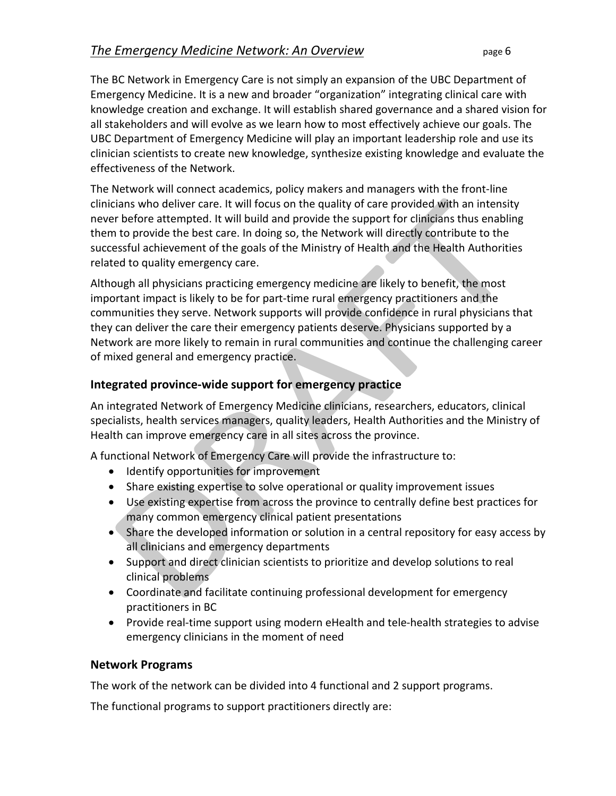The BC Network in Emergency Care is not simply an expansion of the UBC Department of Emergency Medicine. It is a new and broader "organization" integrating clinical care with knowledge creation and exchange. It will establish shared governance and a shared vision for all stakeholders and will evolve as we learn how to most effectively achieve our goals. The UBC Department of Emergency Medicine will play an important leadership role and use its clinician scientists to create new knowledge, synthesize existing knowledge and evaluate the effectiveness of the Network.

The Network will connect academics, policy makers and managers with the front-line clinicians who deliver care. It will focus on the quality of care provided with an intensity never before attempted. It will build and provide the support for clinicians thus enabling them to provide the best care. In doing so, the Network will directly contribute to the successful achievement of the goals of the Ministry of Health and the Health Authorities related to quality emergency care.

Although all physicians practicing emergency medicine are likely to benefit, the most important impact is likely to be for part-time rural emergency practitioners and the communities they serve. Network supports will provide confidence in rural physicians that they can deliver the care their emergency patients deserve. Physicians supported by a Network are more likely to remain in rural communities and continue the challenging career of mixed general and emergency practice.

#### **Integrated province-wide support for emergency practice**

An integrated Network of Emergency Medicine clinicians, researchers, educators, clinical specialists, health services managers, quality leaders, Health Authorities and the Ministry of Health can improve emergency care in all sites across the province.

A functional Network of Emergency Care will provide the infrastructure to:

- Identify opportunities for improvement
- Share existing expertise to solve operational or quality improvement issues
- Use existing expertise from across the province to centrally define best practices for many common emergency clinical patient presentations
- Share the developed information or solution in a central repository for easy access by all clinicians and emergency departments
- Support and direct clinician scientists to prioritize and develop solutions to real clinical problems
- Coordinate and facilitate continuing professional development for emergency practitioners in BC
- Provide real-time support using modern eHealth and tele-health strategies to advise emergency clinicians in the moment of need

#### **Network Programs**

The work of the network can be divided into 4 functional and 2 support programs.

The functional programs to support practitioners directly are: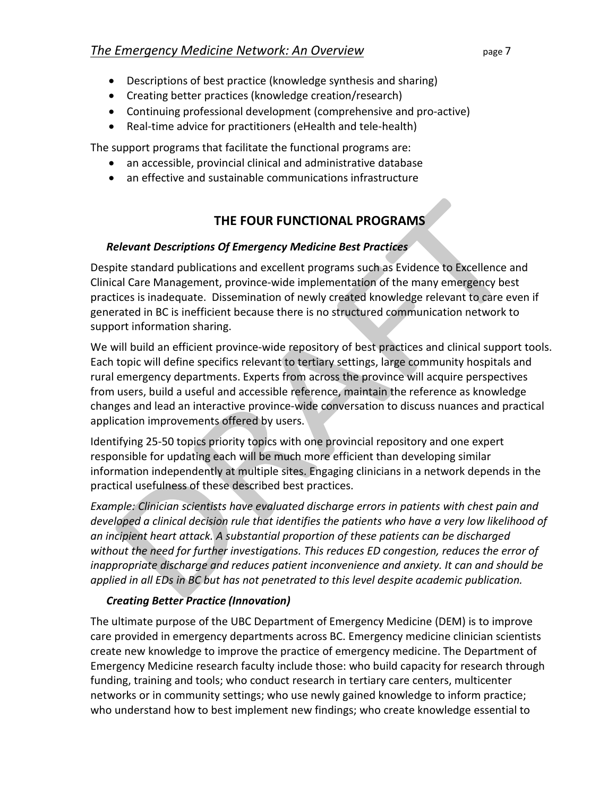- Descriptions of best practice (knowledge synthesis and sharing)
- Creating better practices (knowledge creation/research)
- Continuing professional development (comprehensive and pro-active)
- Real-time advice for practitioners (eHealth and tele-health)

The support programs that facilitate the functional programs are:

- an accessible, provincial clinical and administrative database
- an effective and sustainable communications infrastructure

# **THE FOUR FUNCTIONAL PROGRAMS**

#### *Relevant Descriptions Of Emergency Medicine Best Practices*

Despite standard publications and excellent programs such as Evidence to Excellence and Clinical Care Management, province-wide implementation of the many emergency best practices is inadequate. Dissemination of newly created knowledge relevant to care even if generated in BC is inefficient because there is no structured communication network to support information sharing.

We will build an efficient province-wide repository of best practices and clinical support tools. Each topic will define specifics relevant to tertiary settings, large community hospitals and rural emergency departments. Experts from across the province will acquire perspectives from users, build a useful and accessible reference, maintain the reference as knowledge changes and lead an interactive province-wide conversation to discuss nuances and practical application improvements offered by users.

Identifying 25-50 topics priority topics with one provincial repository and one expert responsible for updating each will be much more efficient than developing similar information independently at multiple sites. Engaging clinicians in a network depends in the practical usefulness of these described best practices.

*Example: Clinician scientists have evaluated discharge errors in patients with chest pain and developed a clinical decision rule that identifies the patients who have a very low likelihood of an incipient heart attack. A substantial proportion of these patients can be discharged without the need for further investigations. This reduces ED congestion, reduces the error of inappropriate discharge and reduces patient inconvenience and anxiety. It can and should be applied in all EDs in BC but has not penetrated to this level despite academic publication.*

#### *Creating Better Practice (Innovation)*

The ultimate purpose of the UBC Department of Emergency Medicine (DEM) is to improve care provided in emergency departments across BC. Emergency medicine clinician scientists create new knowledge to improve the practice of emergency medicine. The Department of Emergency Medicine research faculty include those: who build capacity for research through funding, training and tools; who conduct research in tertiary care centers, multicenter networks or in community settings; who use newly gained knowledge to inform practice; who understand how to best implement new findings; who create knowledge essential to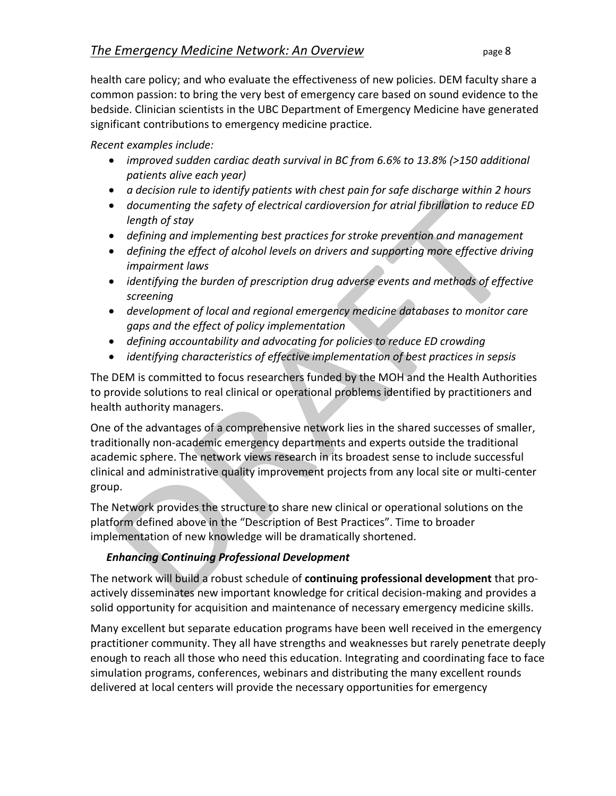health care policy; and who evaluate the effectiveness of new policies. DEM faculty share a common passion: to bring the very best of emergency care based on sound evidence to the bedside. Clinician scientists in the UBC Department of Emergency Medicine have generated significant contributions to emergency medicine practice.

*Recent examples include:*

- *improved sudden cardiac death survival in BC from 6.6% to 13.8% (>150 additional patients alive each year)*
- *a decision rule to identify patients with chest pain for safe discharge within 2 hours*
- *documenting the safety of electrical cardioversion for atrial fibrillation to reduce ED length of stay*
- *defining and implementing best practices for stroke prevention and management*
- *defining the effect of alcohol levels on drivers and supporting more effective driving impairment laws*
- *identifying the burden of prescription drug adverse events and methods of effective screening*
- *development of local and regional emergency medicine databases to monitor care gaps and the effect of policy implementation*
- *defining accountability and advocating for policies to reduce ED crowding*
- *identifying characteristics of effective implementation of best practices in sepsis*

The DEM is committed to focus researchers funded by the MOH and the Health Authorities to provide solutions to real clinical or operational problems identified by practitioners and health authority managers.

One of the advantages of a comprehensive network lies in the shared successes of smaller, traditionally non-academic emergency departments and experts outside the traditional academic sphere. The network views research in its broadest sense to include successful clinical and administrative quality improvement projects from any local site or multi-center group.

The Network provides the structure to share new clinical or operational solutions on the platform defined above in the "Description of Best Practices". Time to broader implementation of new knowledge will be dramatically shortened.

# *Enhancing Continuing Professional Development*

The network will build a robust schedule of **continuing professional development** that proactively disseminates new important knowledge for critical decision-making and provides a solid opportunity for acquisition and maintenance of necessary emergency medicine skills.

Many excellent but separate education programs have been well received in the emergency practitioner community. They all have strengths and weaknesses but rarely penetrate deeply enough to reach all those who need this education. Integrating and coordinating face to face simulation programs, conferences, webinars and distributing the many excellent rounds delivered at local centers will provide the necessary opportunities for emergency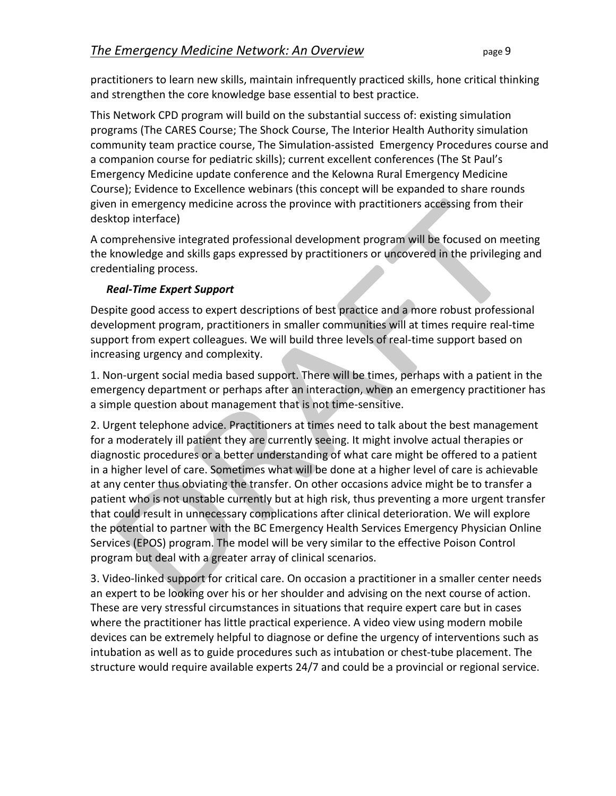practitioners to learn new skills, maintain infrequently practiced skills, hone critical thinking and strengthen the core knowledge base essential to best practice.

This Network CPD program will build on the substantial success of: existing simulation programs (The CARES Course; The Shock Course, The Interior Health Authority simulation community team practice course, The Simulation-assisted Emergency Procedures course and a companion course for pediatric skills); current excellent conferences (The St Paul's Emergency Medicine update conference and the Kelowna Rural Emergency Medicine Course); Evidence to Excellence webinars (this concept will be expanded to share rounds given in emergency medicine across the province with practitioners accessing from their desktop interface)

A comprehensive integrated professional development program will be focused on meeting the knowledge and skills gaps expressed by practitioners or uncovered in the privileging and credentialing process.

#### *Real-Time Expert Support*

Despite good access to expert descriptions of best practice and a more robust professional development program, practitioners in smaller communities will at times require real-time support from expert colleagues. We will build three levels of real-time support based on increasing urgency and complexity.

1. Non-urgent social media based support. There will be times, perhaps with a patient in the emergency department or perhaps after an interaction, when an emergency practitioner has a simple question about management that is not time-sensitive.

2. Urgent telephone advice. Practitioners at times need to talk about the best management for a moderately ill patient they are currently seeing. It might involve actual therapies or diagnostic procedures or a better understanding of what care might be offered to a patient in a higher level of care. Sometimes what will be done at a higher level of care is achievable at any center thus obviating the transfer. On other occasions advice might be to transfer a patient who is not unstable currently but at high risk, thus preventing a more urgent transfer that could result in unnecessary complications after clinical deterioration. We will explore the potential to partner with the BC Emergency Health Services Emergency Physician Online Services (EPOS) program. The model will be very similar to the effective Poison Control program but deal with a greater array of clinical scenarios.

3. Video-linked support for critical care. On occasion a practitioner in a smaller center needs an expert to be looking over his or her shoulder and advising on the next course of action. These are very stressful circumstances in situations that require expert care but in cases where the practitioner has little practical experience. A video view using modern mobile devices can be extremely helpful to diagnose or define the urgency of interventions such as intubation as well as to guide procedures such as intubation or chest-tube placement. The structure would require available experts 24/7 and could be a provincial or regional service.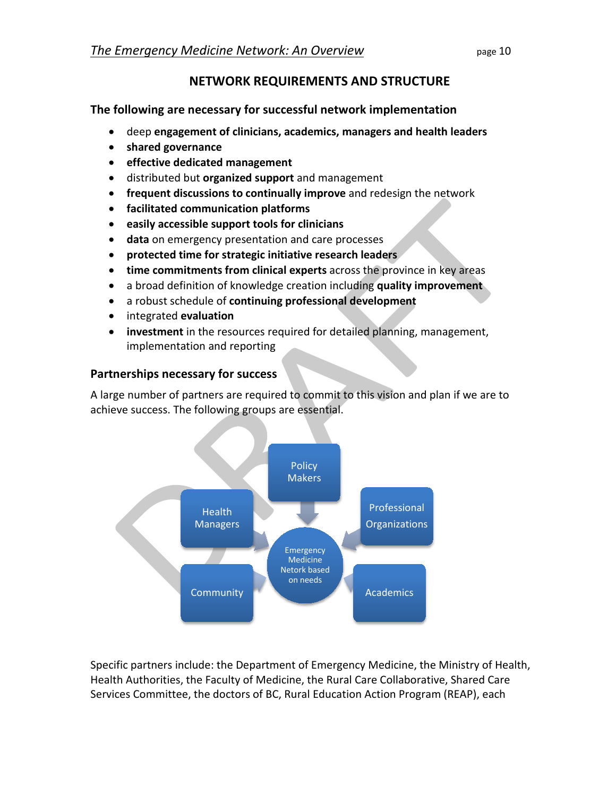# **NETWORK REQUIREMENTS AND STRUCTURE**

**The following are necessary for successful network implementation**

- deep **engagement of clinicians, academics, managers and health leaders**
- **shared governance**
- **effective dedicated management**
- distributed but **organized support** and management
- **frequent discussions to continually improve** and redesign the network
- **facilitated communication platforms**
- **easily accessible support tools for clinicians**
- **data** on emergency presentation and care processes
- **protected time for strategic initiative research leaders**
- **time commitments from clinical experts** across the province in key areas
- a broad definition of knowledge creation including **quality improvement**
- a robust schedule of **continuing professional development**
- integrated **evaluation**
- **investment** in the resources required for detailed planning, management, implementation and reporting

### **Partnerships necessary for success**

A large number of partners are required to commit to this vision and plan if we are to achieve success. The following groups are essential.



Specific partners include: the Department of Emergency Medicine, the Ministry of Health, Health Authorities, the Faculty of Medicine, the Rural Care Collaborative, Shared Care Services Committee, the doctors of BC, Rural Education Action Program (REAP), each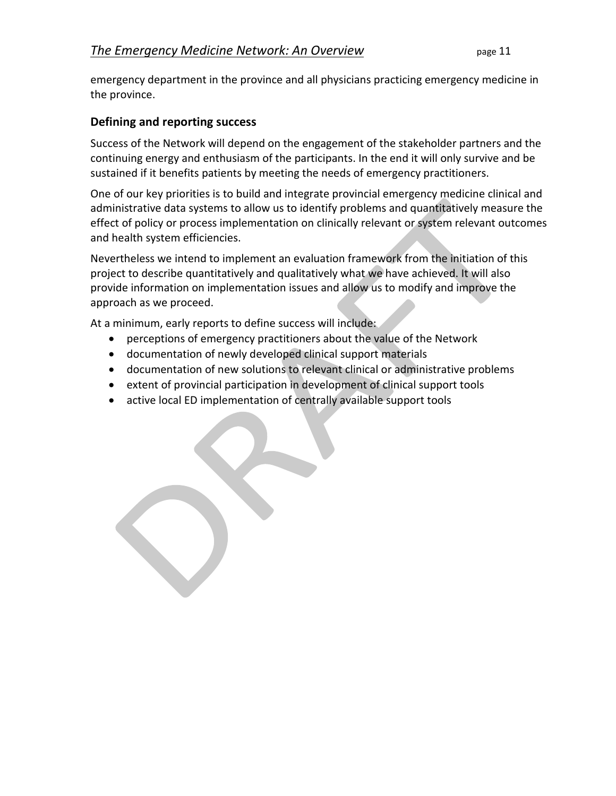emergency department in the province and all physicians practicing emergency medicine in the province.

#### **Defining and reporting success**

Success of the Network will depend on the engagement of the stakeholder partners and the continuing energy and enthusiasm of the participants. In the end it will only survive and be sustained if it benefits patients by meeting the needs of emergency practitioners.

One of our key priorities is to build and integrate provincial emergency medicine clinical and administrative data systems to allow us to identify problems and quantitatively measure the effect of policy or process implementation on clinically relevant or system relevant outcomes and health system efficiencies.

Nevertheless we intend to implement an evaluation framework from the initiation of this project to describe quantitatively and qualitatively what we have achieved. It will also provide information on implementation issues and allow us to modify and improve the approach as we proceed.

At a minimum, early reports to define success will include:

- perceptions of emergency practitioners about the value of the Network
- documentation of newly developed clinical support materials
- documentation of new solutions to relevant clinical or administrative problems
- extent of provincial participation in development of clinical support tools
- active local ED implementation of centrally available support tools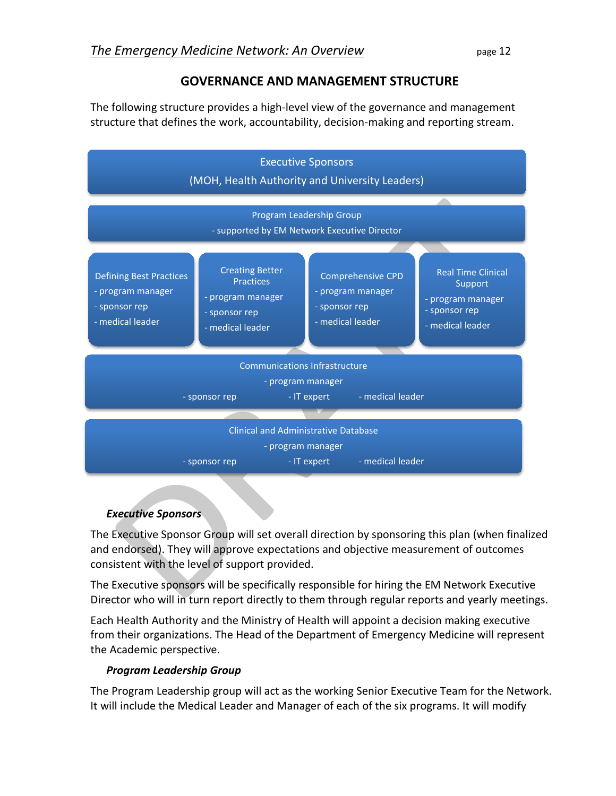# **GOVERNANCE AND MANAGEMENT STRUCTURE**

The following structure provides a high-level view of the governance and management structure that defines the work, accountability, decision-making and reporting stream.



#### *Executive Sponsors*

The Executive Sponsor Group will set overall direction by sponsoring this plan (when finalized and endorsed). They will approve expectations and objective measurement of outcomes consistent with the level of support provided.

The Executive sponsors will be specifically responsible for hiring the EM Network Executive Director who will in turn report directly to them through regular reports and yearly meetings.

Each Health Authority and the Ministry of Health will appoint a decision making executive from their organizations. The Head of the Department of Emergency Medicine will represent the Academic perspective.

#### *Program Leadership Group*

The Program Leadership group will act as the working Senior Executive Team for the Network. It will include the Medical Leader and Manager of each of the six programs. It will modify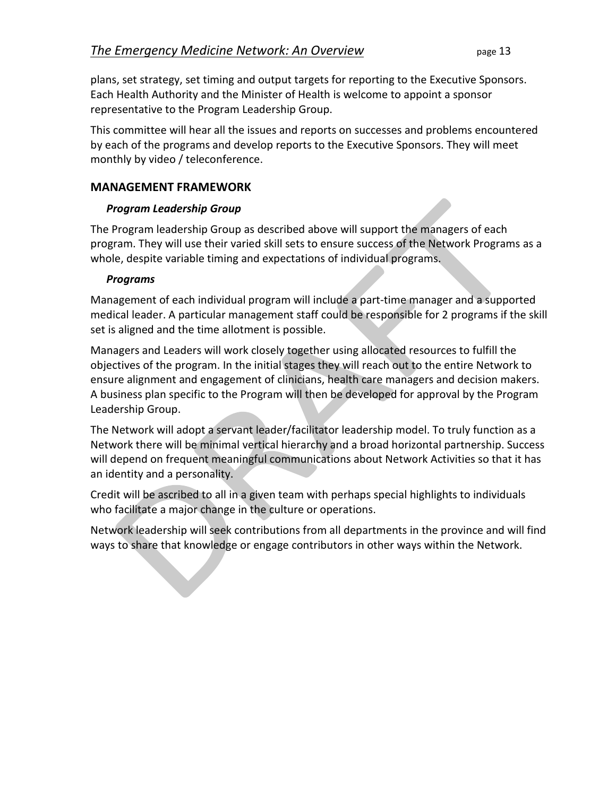plans, set strategy, set timing and output targets for reporting to the Executive Sponsors. Each Health Authority and the Minister of Health is welcome to appoint a sponsor representative to the Program Leadership Group.

This committee will hear all the issues and reports on successes and problems encountered by each of the programs and develop reports to the Executive Sponsors. They will meet monthly by video / teleconference.

#### **MANAGEMENT FRAMEWORK**

#### *Program Leadership Group*

The Program leadership Group as described above will support the managers of each program. They will use their varied skill sets to ensure success of the Network Programs as a whole, despite variable timing and expectations of individual programs.

#### *Programs*

Management of each individual program will include a part-time manager and a supported medical leader. A particular management staff could be responsible for 2 programs if the skill set is aligned and the time allotment is possible.

Managers and Leaders will work closely together using allocated resources to fulfill the objectives of the program. In the initial stages they will reach out to the entire Network to ensure alignment and engagement of clinicians, health care managers and decision makers. A business plan specific to the Program will then be developed for approval by the Program Leadership Group.

The Network will adopt a servant leader/facilitator leadership model. To truly function as a Network there will be minimal vertical hierarchy and a broad horizontal partnership. Success will depend on frequent meaningful communications about Network Activities so that it has an identity and a personality.

Credit will be ascribed to all in a given team with perhaps special highlights to individuals who facilitate a major change in the culture or operations.

Network leadership will seek contributions from all departments in the province and will find ways to share that knowledge or engage contributors in other ways within the Network.